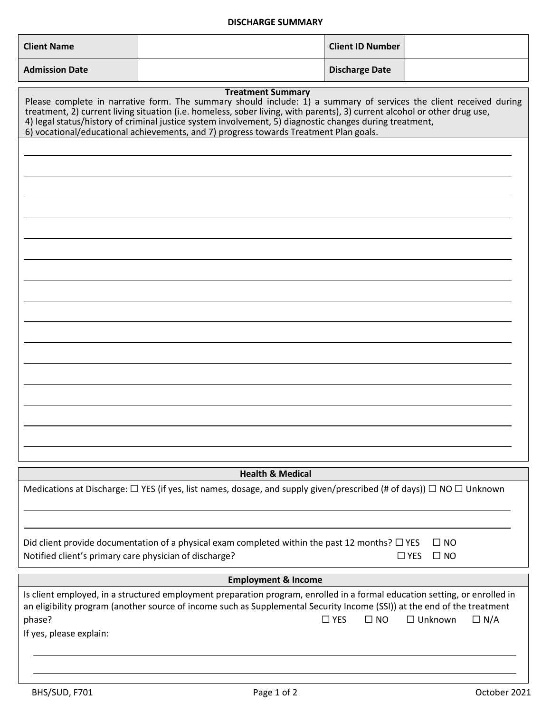## **DISCHARGE SUMMARY**

| <b>Client Name</b>                                                                                                                                                                                                                                                                                                                                                                                                                                                              |                                                                                                                                                                                                                                                        | <b>Client ID Number</b>    |                                            |  |
|---------------------------------------------------------------------------------------------------------------------------------------------------------------------------------------------------------------------------------------------------------------------------------------------------------------------------------------------------------------------------------------------------------------------------------------------------------------------------------|--------------------------------------------------------------------------------------------------------------------------------------------------------------------------------------------------------------------------------------------------------|----------------------------|--------------------------------------------|--|
| <b>Admission Date</b>                                                                                                                                                                                                                                                                                                                                                                                                                                                           |                                                                                                                                                                                                                                                        | <b>Discharge Date</b>      |                                            |  |
| <b>Treatment Summary</b><br>Please complete in narrative form. The summary should include: 1) a summary of services the client received during<br>treatment, 2) current living situation (i.e. homeless, sober living, with parents), 3) current alcohol or other drug use,<br>4) legal status/history of criminal justice system involvement, 5) diagnostic changes during treatment,<br>6) vocational/educational achievements, and 7) progress towards Treatment Plan goals. |                                                                                                                                                                                                                                                        |                            |                                            |  |
|                                                                                                                                                                                                                                                                                                                                                                                                                                                                                 |                                                                                                                                                                                                                                                        |                            |                                            |  |
|                                                                                                                                                                                                                                                                                                                                                                                                                                                                                 |                                                                                                                                                                                                                                                        |                            |                                            |  |
|                                                                                                                                                                                                                                                                                                                                                                                                                                                                                 |                                                                                                                                                                                                                                                        |                            |                                            |  |
|                                                                                                                                                                                                                                                                                                                                                                                                                                                                                 |                                                                                                                                                                                                                                                        |                            |                                            |  |
|                                                                                                                                                                                                                                                                                                                                                                                                                                                                                 |                                                                                                                                                                                                                                                        |                            |                                            |  |
|                                                                                                                                                                                                                                                                                                                                                                                                                                                                                 |                                                                                                                                                                                                                                                        |                            |                                            |  |
|                                                                                                                                                                                                                                                                                                                                                                                                                                                                                 |                                                                                                                                                                                                                                                        |                            |                                            |  |
|                                                                                                                                                                                                                                                                                                                                                                                                                                                                                 |                                                                                                                                                                                                                                                        |                            |                                            |  |
|                                                                                                                                                                                                                                                                                                                                                                                                                                                                                 |                                                                                                                                                                                                                                                        |                            |                                            |  |
|                                                                                                                                                                                                                                                                                                                                                                                                                                                                                 |                                                                                                                                                                                                                                                        |                            |                                            |  |
|                                                                                                                                                                                                                                                                                                                                                                                                                                                                                 |                                                                                                                                                                                                                                                        |                            |                                            |  |
|                                                                                                                                                                                                                                                                                                                                                                                                                                                                                 |                                                                                                                                                                                                                                                        |                            |                                            |  |
|                                                                                                                                                                                                                                                                                                                                                                                                                                                                                 |                                                                                                                                                                                                                                                        |                            |                                            |  |
|                                                                                                                                                                                                                                                                                                                                                                                                                                                                                 |                                                                                                                                                                                                                                                        |                            |                                            |  |
|                                                                                                                                                                                                                                                                                                                                                                                                                                                                                 |                                                                                                                                                                                                                                                        |                            |                                            |  |
|                                                                                                                                                                                                                                                                                                                                                                                                                                                                                 | <b>Health &amp; Medical</b><br>Medications at Discharge: $\Box$ YES (if yes, list names, dosage, and supply given/prescribed (# of days)) $\Box$ NO $\Box$ Unknown                                                                                     |                            |                                            |  |
|                                                                                                                                                                                                                                                                                                                                                                                                                                                                                 |                                                                                                                                                                                                                                                        |                            |                                            |  |
|                                                                                                                                                                                                                                                                                                                                                                                                                                                                                 |                                                                                                                                                                                                                                                        |                            |                                            |  |
| Notified client's primary care physician of discharge?                                                                                                                                                                                                                                                                                                                                                                                                                          | Did client provide documentation of a physical exam completed within the past 12 months? $\Box$ YES                                                                                                                                                    |                            | $\square$ NO<br>$\Box$ YES<br>$\square$ NO |  |
| <b>Employment &amp; Income</b>                                                                                                                                                                                                                                                                                                                                                                                                                                                  |                                                                                                                                                                                                                                                        |                            |                                            |  |
|                                                                                                                                                                                                                                                                                                                                                                                                                                                                                 | Is client employed, in a structured employment preparation program, enrolled in a formal education setting, or enrolled in<br>an eligibility program (another source of income such as Supplemental Security Income (SSI)) at the end of the treatment |                            |                                            |  |
| phase?<br>If yes, please explain:                                                                                                                                                                                                                                                                                                                                                                                                                                               |                                                                                                                                                                                                                                                        | $\Box$ YES<br>$\square$ NO | $\Box$ Unknown<br>$\Box N/A$               |  |
|                                                                                                                                                                                                                                                                                                                                                                                                                                                                                 |                                                                                                                                                                                                                                                        |                            |                                            |  |
|                                                                                                                                                                                                                                                                                                                                                                                                                                                                                 |                                                                                                                                                                                                                                                        |                            |                                            |  |

 $\mathbf{I}$